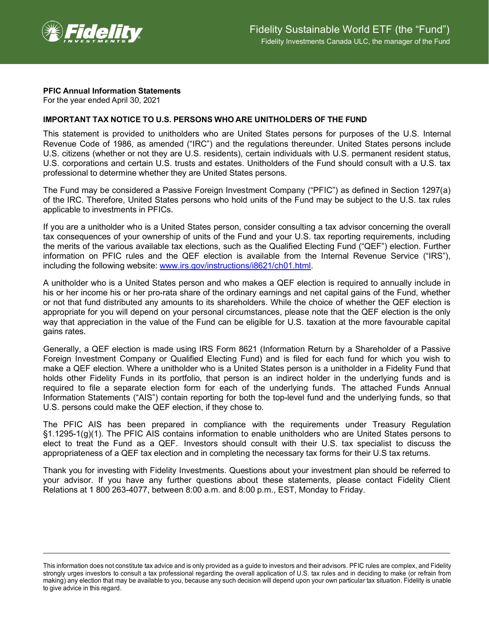

## **PFIC Annual Information Statements**

For the year ended April 30, 2021

## **IMPORTANT TAX NOTICE TO U.S. PERSONS WHO ARE UNITHOLDERS OF THE FUND**

This statement is provided to unitholders who are United States persons for purposes of the U.S. Internal Revenue Code of 1986, as amended ("IRC") and the regulations thereunder. United States persons include U.S. citizens (whether or not they are U.S. residents), certain individuals with U.S. permanent resident status, U.S. corporations and certain U.S. trusts and estates. Unitholders of the Fund should consult with a U.S. tax professional to determine whether they are United States persons.

The Fund may be considered a Passive Foreign Investment Company ("PFIC") as defined in Section 1297(a) of the IRC. Therefore, United States persons who hold units of the Fund may be subject to the U.S. tax rules applicable to investments in PFICs.

If you are a unitholder who is a United States person, consider consulting a tax advisor concerning the overall tax consequences of your ownership of units of the Fund and your U.S. tax reporting requirements, including the merits of the various available tax elections, such as the Qualified Electing Fund ("QEF") election. Further information on PFIC rules and the QEF election is available from the Internal Revenue Service ("IRS"), including the following website: [www.irs.gov/instructions/i8621/ch01.html.](http://www.irs.gov/instructions/i8621/ch01.html)

A unitholder who is a United States person and who makes a QEF election is required to annually include in his or her income his or her pro-rata share of the ordinary earnings and net capital gains of the Fund, whether or not that fund distributed any amounts to its shareholders. While the choice of whether the QEF election is appropriate for you will depend on your personal circumstances, please note that the QEF election is the only way that appreciation in the value of the Fund can be eligible for U.S. taxation at the more favourable capital gains rates.

Generally, a QEF election is made using IRS Form 8621 (Information Return by a Shareholder of a Passive Foreign Investment Company or Qualified Electing Fund) and is filed for each fund for which you wish to make a QEF election. Where a unitholder who is a United States person is a unitholder in a Fidelity Fund that holds other Fidelity Funds in its portfolio, that person is an indirect holder in the underlying funds and is required to file a separate election form for each of the underlying funds. The attached Funds Annual Information Statements ("AIS") contain reporting for both the top-level fund and the underlying funds, so that U.S. persons could make the QEF election, if they chose to.

The PFIC AIS has been prepared in compliance with the requirements under Treasury Regulation §1.1295-1(g)(1). The PFIC AIS contains information to enable unitholders who are United States persons to elect to treat the Fund as a QEF. Investors should consult with their U.S. tax specialist to discuss the appropriateness of a QEF tax election and in completing the necessary tax forms for their U.S tax returns.

Thank you for investing with Fidelity Investments. Questions about your investment plan should be referred to your advisor. If you have any further questions about these statements, please contact Fidelity Client Relations at 1 800 263-4077, between 8:00 a.m. and 8:00 p.m., EST, Monday to Friday.

This information does not constitute tax advice and is only provided as a guide to investors and their advisors. PFIC rules are complex, and Fidelity strongly urges investors to consult a tax professional regarding the overall application of U.S. tax rules and in deciding to make (or refrain from making) any election that may be available to you, because any such decision will depend upon your own particular tax situation. Fidelity is unable to give advice in this regard.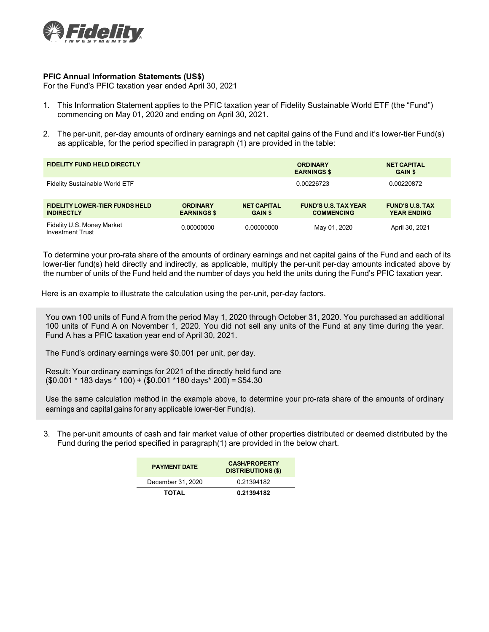

## **PFIC Annual Information Statements (US\$)**

For the Fund's PFIC taxation year ended April 30, 2021

- 1. This Information Statement applies to the PFIC taxation year of Fidelity Sustainable World ETF (the "Fund") commencing on May 01, 2020 and ending on April 30, 2021.
- 2. The per-unit, per-day amounts of ordinary earnings and net capital gains of the Fund and it's lower-tier Fund(s) as applicable, for the period specified in paragraph (1) are provided in the table:

| <b>FIDELITY FUND HELD DIRECTLY</b>                         |                                       |                                      | <b>ORDINARY</b><br><b>EARNINGS \$</b>            | <b>NET CAPITAL</b><br><b>GAIN \$</b>         |  |
|------------------------------------------------------------|---------------------------------------|--------------------------------------|--------------------------------------------------|----------------------------------------------|--|
| <b>Fidelity Sustainable World ETF</b>                      |                                       |                                      | 0.00226723                                       | 0.00220872                                   |  |
| <b>FIDELITY LOWER-TIER FUNDS HELD</b><br><b>INDIRECTLY</b> | <b>ORDINARY</b><br><b>EARNINGS \$</b> | <b>NET CAPITAL</b><br><b>GAIN \$</b> | <b>FUND'S U.S. TAX YEAR</b><br><b>COMMENCING</b> | <b>FUND'S U.S. TAX</b><br><b>YEAR ENDING</b> |  |
| Fidelity U.S. Money Market<br><b>Investment Trust</b>      | 0.00000000                            | 0.00000000                           | May 01, 2020                                     | April 30, 2021                               |  |

To determine your pro-rata share of the amounts of ordinary earnings and net capital gains of the Fund and each of its lower-tier fund(s) held directly and indirectly, as applicable, multiply the per-unit per-day amounts indicated above by the number of units of the Fund held and the number of days you held the units during the Fund's PFIC taxation year.

Here is an example to illustrate the calculation using the per-unit, per-day factors.

You own 100 units of Fund A from the period May 1, 2020 through October 31, 2020. You purchased an additional 100 units of Fund A on November 1, 2020. You did not sell any units of the Fund at any time during the year. Fund A has a PFIC taxation year end of April 30, 2021.

The Fund's ordinary earnings were \$0.001 per unit, per day.

Result: Your ordinary earnings for 2021 of the directly held fund are (\$0.001 \* 183 days \* 100) + (\$0.001 \*180 days\* 200) = \$54.30

Use the same calculation method in the example above, to determine your pro-rata share of the amounts of ordinary earnings and capital gains for any applicable lower-tier Fund(s).

3. The per-unit amounts of cash and fair market value of other properties distributed or deemed distributed by the Fund during the period specified in paragraph(1) are provided in the below chart.

| <b>PAYMENT DATE</b> | <b>CASH/PROPERTY</b><br><b>DISTRIBUTIONS (\$)</b> |  |  |
|---------------------|---------------------------------------------------|--|--|
| December 31, 2020   | 0.21394182                                        |  |  |
| TOTAL               | 0.21394182                                        |  |  |